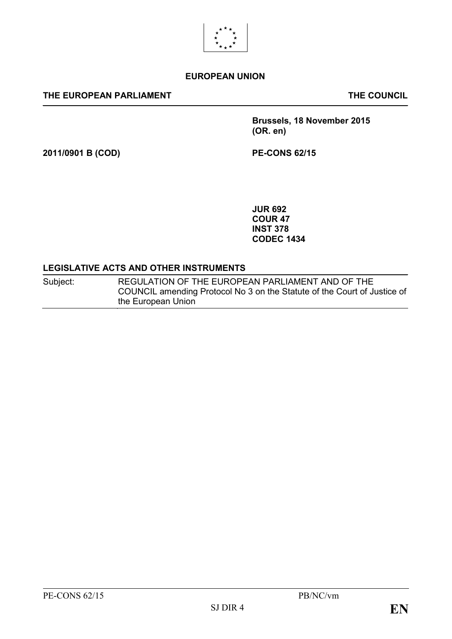

#### **EUROPEAN UNION**

#### **THE EUROPEAN PARLIAMENT THE COUNCIL**

**Brussels, 18 November 2015 (OR. en)**

**2011/0901 B (COD) PE-CONS 62/15**

**JUR 692 COUR 47 INST 378 CODEC 1434**

#### **LEGISLATIVE ACTS AND OTHER INSTRUMENTS**

Subject: REGULATION OF THE EUROPEAN PARLIAMENT AND OF THE COUNCIL amending Protocol No 3 on the Statute of the Court of Justice of the European Union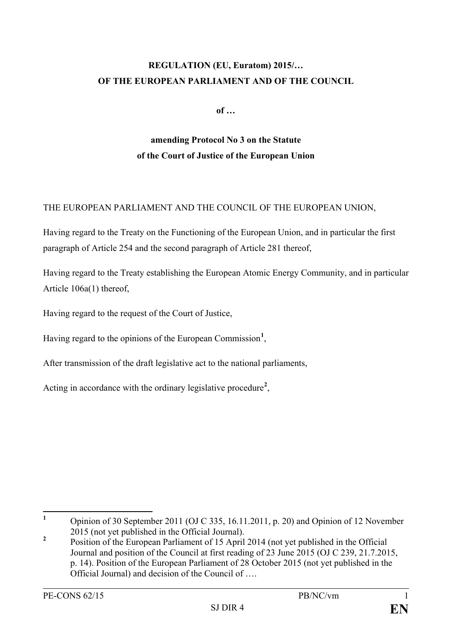# **REGULATION (EU, Euratom) 2015/… OF THE EUROPEAN PARLIAMENT AND OF THE COUNCIL**

**of …**

# **amending Protocol No 3 on the Statute of the Court of Justice of the European Union**

### THE EUROPEAN PARLIAMENT AND THE COUNCIL OF THE EUROPEAN UNION,

Having regard to the Treaty on the Functioning of the European Union, and in particular the first paragraph of Article 254 and the second paragraph of Article 281 thereof,

Having regard to the Treaty establishing the European Atomic Energy Community, and in particular Article 106a(1) thereof,

Having regard to the request of the Court of Justice,

Having regard to the opinions of the European Commission**[1](#page-1-0)** ,

After transmission of the draft legislative act to the national parliaments,

Acting in accordance with the ordinary legislative procedure**[2](#page-1-1)** ,

<span id="page-1-0"></span>**<sup>1</sup>** Opinion of 30 September 2011 (OJ C 335, 16.11.2011, p. 20) and Opinion of 12 November 2015 (not yet published in the Official Journal).

<span id="page-1-1"></span><sup>&</sup>lt;sup>2</sup> Position of the European Parliament of 15 April 2014 (not yet published in the Official Journal and position of the Council at first reading of 23 June 2015 (OJ C 239, 21.7.2015, p. 14). Position of the European Parliament of 28 October 2015 (not yet published in the Official Journal) and decision of the Council of ….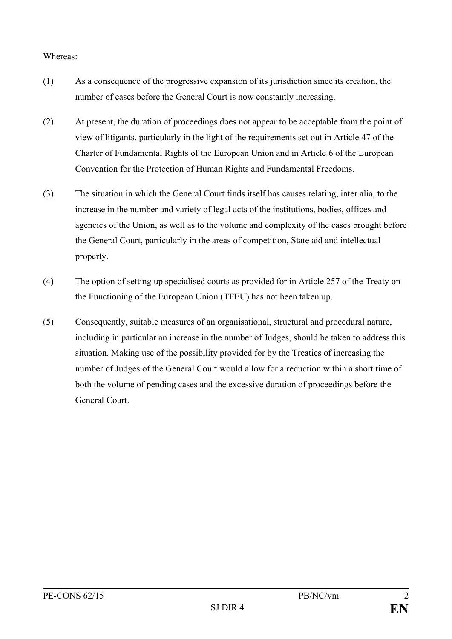#### Whereas:

- (1) As a consequence of the progressive expansion of its jurisdiction since its creation, the number of cases before the General Court is now constantly increasing.
- (2) At present, the duration of proceedings does not appear to be acceptable from the point of view of litigants, particularly in the light of the requirements set out in Article 47 of the Charter of Fundamental Rights of the European Union and in Article 6 of the European Convention for the Protection of Human Rights and Fundamental Freedoms.
- (3) The situation in which the General Court finds itself has causes relating, inter alia, to the increase in the number and variety of legal acts of the institutions, bodies, offices and agencies of the Union, as well as to the volume and complexity of the cases brought before the General Court, particularly in the areas of competition, State aid and intellectual property.
- (4) The option of setting up specialised courts as provided for in Article 257 of the Treaty on the Functioning of the European Union (TFEU) has not been taken up.
- (5) Consequently, suitable measures of an organisational, structural and procedural nature, including in particular an increase in the number of Judges, should be taken to address this situation. Making use of the possibility provided for by the Treaties of increasing the number of Judges of the General Court would allow for a reduction within a short time of both the volume of pending cases and the excessive duration of proceedings before the General Court.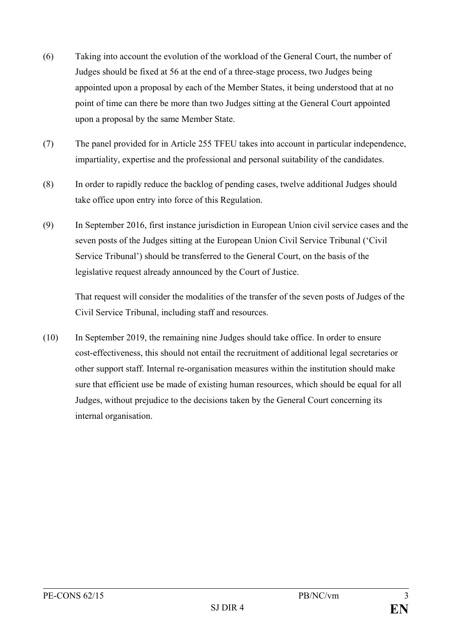- (6) Taking into account the evolution of the workload of the General Court, the number of Judges should be fixed at 56 at the end of a three-stage process, two Judges being appointed upon a proposal by each of the Member States, it being understood that at no point of time can there be more than two Judges sitting at the General Court appointed upon a proposal by the same Member State.
- (7) The panel provided for in Article 255 TFEU takes into account in particular independence, impartiality, expertise and the professional and personal suitability of the candidates.
- (8) In order to rapidly reduce the backlog of pending cases, twelve additional Judges should take office upon entry into force of this Regulation.
- (9) In September 2016, first instance jurisdiction in European Union civil service cases and the seven posts of the Judges sitting at the European Union Civil Service Tribunal ('Civil Service Tribunal') should be transferred to the General Court, on the basis of the legislative request already announced by the Court of Justice.

That request will consider the modalities of the transfer of the seven posts of Judges of the Civil Service Tribunal, including staff and resources.

(10) In September 2019, the remaining nine Judges should take office. In order to ensure cost-effectiveness, this should not entail the recruitment of additional legal secretaries or other support staff. Internal re-organisation measures within the institution should make sure that efficient use be made of existing human resources, which should be equal for all Judges, without prejudice to the decisions taken by the General Court concerning its internal organisation.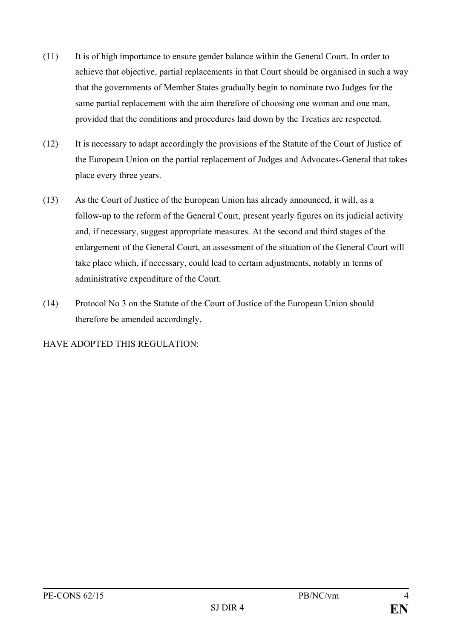- (11) It is of high importance to ensure gender balance within the General Court. In order to achieve that objective, partial replacements in that Court should be organised in such a way that the governments of Member States gradually begin to nominate two Judges for the same partial replacement with the aim therefore of choosing one woman and one man, provided that the conditions and procedures laid down by the Treaties are respected.
- (12) It is necessary to adapt accordingly the provisions of the Statute of the Court of Justice of the European Union on the partial replacement of Judges and Advocates-General that takes place every three years.
- (13) As the Court of Justice of the European Union has already announced, it will, as a follow-up to the reform of the General Court, present yearly figures on its judicial activity and, if necessary, suggest appropriate measures. At the second and third stages of the enlargement of the General Court, an assessment of the situation of the General Court will take place which, if necessary, could lead to certain adjustments, notably in terms of administrative expenditure of the Court.
- (14) Protocol No 3 on the Statute of the Court of Justice of the European Union should therefore be amended accordingly,

HAVE ADOPTED THIS REGULATION: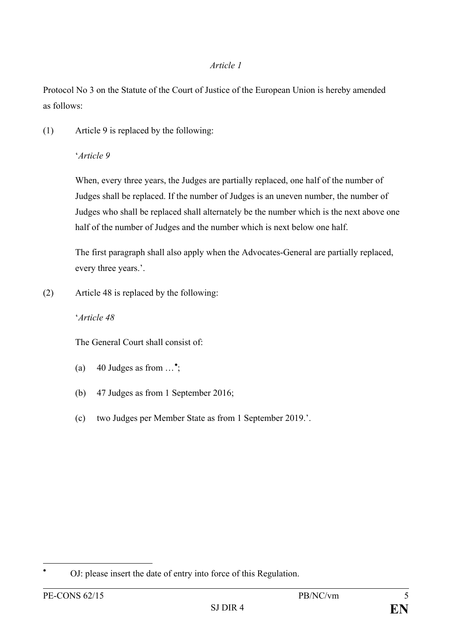Protocol No 3 on the Statute of the Court of Justice of the European Union is hereby amended as follows:

(1) Article 9 is replaced by the following:

## '*Article 9*

When, every three years, the Judges are partially replaced, one half of the number of Judges shall be replaced. If the number of Judges is an uneven number, the number of Judges who shall be replaced shall alternately be the number which is the next above one half of the number of Judges and the number which is next below one half.

The first paragraph shall also apply when the Advocates-General are partially replaced, every three years.'.

(2) Article 48 is replaced by the following:

## '*Article 48*

The General Court shall consist of:

- (a) 40 Judges as from  $\dots$ <sup>\*</sup>;
- (b) 47 Judges as from 1 September 2016;
- (c) two Judges per Member State as from 1 September 2019.'.

<span id="page-5-0"></span><sup>∗</sup> OJ: please insert the date of entry into force of this Regulation.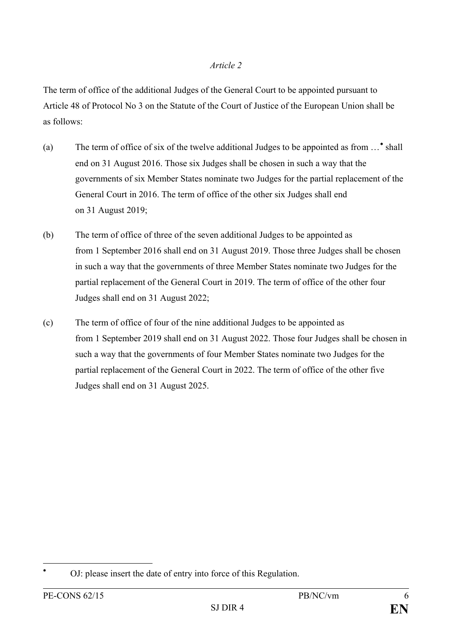The term of office of the additional Judges of the General Court to be appointed pursuant to Article 48 of Protocol No 3 on the Statute of the Court of Justice of the European Union shall be as follows:

- (a) The term of office of six of the twelve additional Judges to be appointed as from …[∗](#page-6-0) shall end on 31 August 2016. Those six Judges shall be chosen in such a way that the governments of six Member States nominate two Judges for the partial replacement of the General Court in 2016. The term of office of the other six Judges shall end on 31 August 2019;
- (b) The term of office of three of the seven additional Judges to be appointed as from 1 September 2016 shall end on 31 August 2019. Those three Judges shall be chosen in such a way that the governments of three Member States nominate two Judges for the partial replacement of the General Court in 2019. The term of office of the other four Judges shall end on 31 August 2022;
- (c) The term of office of four of the nine additional Judges to be appointed as from 1 September 2019 shall end on 31 August 2022. Those four Judges shall be chosen in such a way that the governments of four Member States nominate two Judges for the partial replacement of the General Court in 2022. The term of office of the other five Judges shall end on 31 August 2025.

<span id="page-6-0"></span>OJ: please insert the date of entry into force of this Regulation.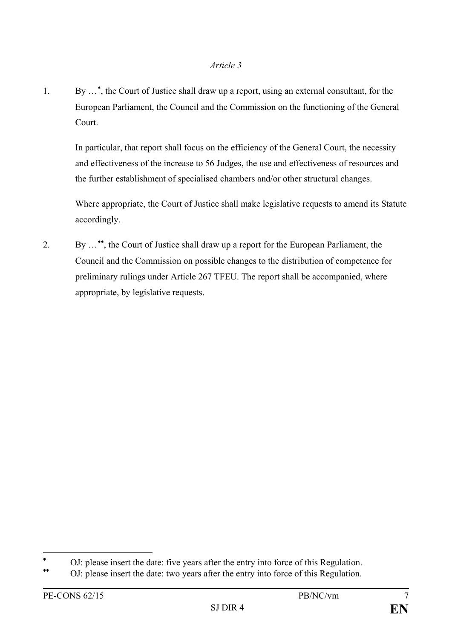1. By …[∗](#page-7-0) , the Court of Justice shall draw up a report, using an external consultant, for the European Parliament, the Council and the Commission on the functioning of the General Court.

In particular, that report shall focus on the efficiency of the General Court, the necessity and effectiveness of the increase to 56 Judges, the use and effectiveness of resources and the further establishment of specialised chambers and/or other structural changes.

Where appropriate, the Court of Justice shall make legislative requests to amend its Statute accordingly.

2. By …[∗∗](#page-7-1) , the Court of Justice shall draw up a report for the European Parliament, the Council and the Commission on possible changes to the distribution of competence for preliminary rulings under Article 267 TFEU. The report shall be accompanied, where appropriate, by legislative requests.

<span id="page-7-0"></span><sup>•</sup> OJ: please insert the date: five years after the entry into force of this Regulation. ◆ OJ: please insert the date: two years after the entry into force of this Regulation.

<span id="page-7-1"></span>